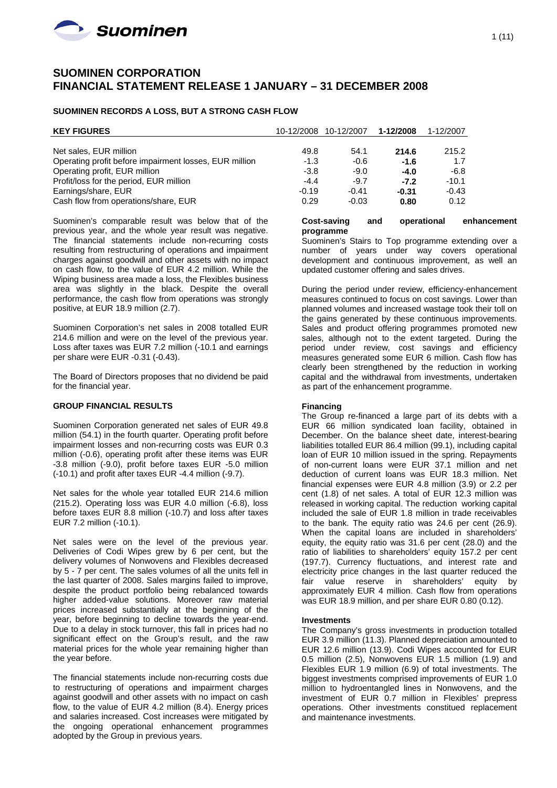

# **SUOMINEN CORPORATION FINANCIAL STATEMENT RELEASE 1 JANUARY – 31 DECEMBER 2008**

### **SUOMINEN RECORDS A LOSS, BUT A STRONG CASH FLOW**

| <b>KEY FIGURES</b>                                     | 10-12/2008 | 10-12/2007 | 1-12/2008 | 1-12/2007 |
|--------------------------------------------------------|------------|------------|-----------|-----------|
|                                                        |            |            |           |           |
| Net sales, EUR million                                 | 49.8       | 54.1       | 214.6     | 215.2     |
| Operating profit before impairment losses, EUR million | $-1.3$     | $-0.6$     | $-1.6$    | 1.7       |
| Operating profit, EUR million                          | $-3.8$     | $-9.0$     | $-4.0$    | $-6.8$    |
| Profit/loss for the period, EUR million                | $-4.4$     | $-9.7$     | $-7.2$    | $-10.1$   |
| Earnings/share, EUR                                    | $-0.19$    | $-0.41$    | $-0.31$   | $-0.43$   |
| Cash flow from operations/share, EUR                   | 0.29       | $-0.03$    | 0.80      | 0.12      |

Suominen's comparable result was below that of the previous year, and the whole year result was negative. The financial statements include non-recurring costs resulting from restructuring of operations and impairment charges against goodwill and other assets with no impact on cash flow, to the value of EUR 4.2 million. While the Wiping business area made a loss, the Flexibles business area was slightly in the black. Despite the overall performance, the cash flow from operations was strongly positive, at EUR 18.9 million (2.7).

Suominen Corporation's net sales in 2008 totalled EUR 214.6 million and were on the level of the previous year. Loss after taxes was EUR 7.2 million (-10.1 and earnings per share were EUR -0.31 (-0.43).

The Board of Directors proposes that no dividend be paid for the financial year.

### **GROUP FINANCIAL RESULTS**

Suominen Corporation generated net sales of EUR 49.8 million (54.1) in the fourth quarter. Operating profit before impairment losses and non-recurring costs was EUR 0.3 million (-0.6), operating profit after these items was EUR -3.8 million (-9.0), profit before taxes EUR -5.0 million (-10.1) and profit after taxes EUR -4.4 million (-9.7).

Net sales for the whole year totalled EUR 214.6 million (215.2). Operating loss was EUR 4.0 million (-6.8), loss before taxes EUR 8.8 million (-10.7) and loss after taxes EUR 7.2 million (-10.1).

Net sales were on the level of the previous year. Deliveries of Codi Wipes grew by 6 per cent, but the delivery volumes of Nonwovens and Flexibles decreased by 5 - 7 per cent. The sales volumes of all the units fell in the last quarter of 2008. Sales margins failed to improve, despite the product portfolio being rebalanced towards higher added-value solutions. Moreover raw material prices increased substantially at the beginning of the year, before beginning to decline towards the year-end. Due to a delay in stock turnover, this fall in prices had no significant effect on the Group's result, and the raw material prices for the whole year remaining higher than the year before.

The financial statements include non-recurring costs due to restructuring of operations and impairment charges against goodwill and other assets with no impact on cash flow, to the value of EUR 4.2 million (8.4). Energy prices and salaries increased. Cost increases were mitigated by the ongoing operational enhancement programmes adopted by the Group in previous years.

| <b>Cost-saving</b> | and | operational | enhancement |
|--------------------|-----|-------------|-------------|
| programme          |     |             |             |

Suominen's Stairs to Top programme extending over a number of years under way covers operational development and continuous improvement, as well an updated customer offering and sales drives.

During the period under review, efficiency-enhancement measures continued to focus on cost savings. Lower than planned volumes and increased wastage took their toll on the gains generated by these continuous improvements. Sales and product offering programmes promoted new sales, although not to the extent targeted. During the period under review, cost savings and efficiency measures generated some EUR 6 million. Cash flow has clearly been strengthened by the reduction in working capital and the withdrawal from investments, undertaken as part of the enhancement programme.

### **Financing**

The Group re-financed a large part of its debts with a EUR 66 million syndicated loan facility, obtained in December. On the balance sheet date, interest-bearing liabilities totalled EUR 86.4 million (99.1), including capital loan of EUR 10 million issued in the spring. Repayments of non-current loans were EUR 37.1 million and net deduction of current loans was EUR 18.3 million. Net financial expenses were EUR 4.8 million (3.9) or 2.2 per cent (1.8) of net sales. A total of EUR 12.3 million was released in working capital. The reduction working capital included the sale of EUR 1.8 million in trade receivables to the bank. The equity ratio was 24.6 per cent (26.9). When the capital loans are included in shareholders' equity, the equity ratio was 31.6 per cent (28.0) and the ratio of liabilities to shareholders' equity 157.2 per cent (197.7). Currency fluctuations, and interest rate and electricity price changes in the last quarter reduced the fair value reserve in shareholders' equity by approximately EUR 4 million. Cash flow from operations was EUR 18.9 million, and per share EUR 0.80 (0.12).

#### **Investments**

The Company's gross investments in production totalled EUR 3.9 million (11.3). Planned depreciation amounted to EUR 12.6 million (13.9). Codi Wipes accounted for EUR 0.5 million (2.5), Nonwovens EUR 1.5 million (1.9) and Flexibles EUR 1.9 million (6.9) of total investments. The biggest investments comprised improvements of EUR 1.0 million to hydroentangled lines in Nonwovens, and the investment of EUR 0.7 million in Flexibles' prepress operations. Other investments constitued replacement and maintenance investments.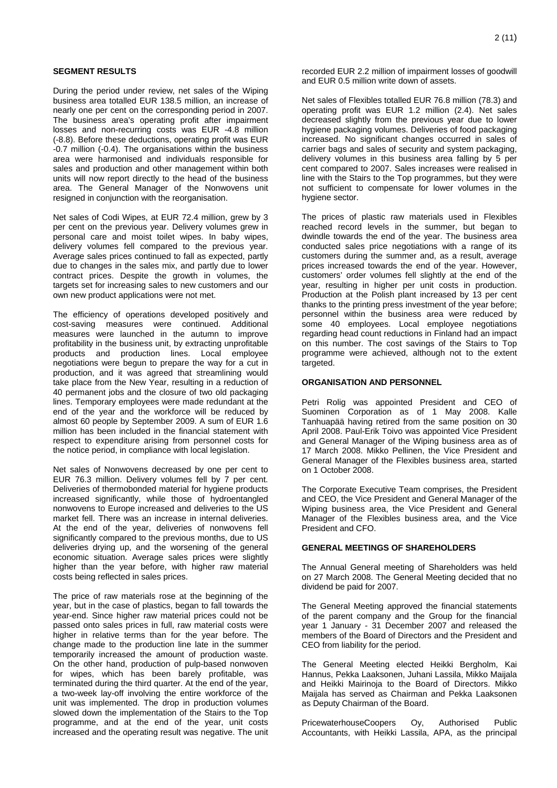### **SEGMENT RESULTS**

During the period under review, net sales of the Wiping business area totalled EUR 138.5 million, an increase of nearly one per cent on the corresponding period in 2007. The business area's operating profit after impairment losses and non-recurring costs was EUR -4.8 million (-8.8). Before these deductions, operating profit was EUR -0.7 million (-0.4). The organisations within the business area were harmonised and individuals responsible for sales and production and other management within both units will now report directly to the head of the business area. The General Manager of the Nonwovens unit resigned in conjunction with the reorganisation.

Net sales of Codi Wipes, at EUR 72.4 million, grew by 3 per cent on the previous year. Delivery volumes grew in personal care and moist toilet wipes. In baby wipes, delivery volumes fell compared to the previous year. Average sales prices continued to fall as expected, partly due to changes in the sales mix, and partly due to lower contract prices. Despite the growth in volumes, the targets set for increasing sales to new customers and our own new product applications were not met.

The efficiency of operations developed positively and cost-saving measures were continued. Additional measures were launched in the autumn to improve profitability in the business unit, by extracting unprofitable products and production lines. Local employee negotiations were begun to prepare the way for a cut in production, and it was agreed that streamlining would take place from the New Year, resulting in a reduction of 40 permanent jobs and the closure of two old packaging lines. Temporary employees were made redundant at the end of the year and the workforce will be reduced by almost 60 people by September 2009. A sum of EUR 1.6 million has been included in the financial statement with respect to expenditure arising from personnel costs for the notice period, in compliance with local legislation.

Net sales of Nonwovens decreased by one per cent to EUR 76.3 million. Delivery volumes fell by 7 per cent. Deliveries of thermobonded material for hygiene products increased significantly, while those of hydroentangled nonwovens to Europe increased and deliveries to the US market fell. There was an increase in internal deliveries. At the end of the year, deliveries of nonwovens fell significantly compared to the previous months, due to US deliveries drying up, and the worsening of the general economic situation. Average sales prices were slightly higher than the year before, with higher raw material costs being reflected in sales prices.

The price of raw materials rose at the beginning of the year, but in the case of plastics, began to fall towards the year-end. Since higher raw material prices could not be passed onto sales prices in full, raw material costs were higher in relative terms than for the year before. The change made to the production line late in the summer temporarily increased the amount of production waste. On the other hand, production of pulp-based nonwoven for wipes, which has been barely profitable, was terminated during the third quarter. At the end of the year, a two-week lay-off involving the entire workforce of the unit was implemented. The drop in production volumes slowed down the implementation of the Stairs to the Top programme, and at the end of the year, unit costs increased and the operating result was negative. The unit

recorded EUR 2.2 million of impairment losses of goodwill and EUR 0.5 million write down of assets.

Net sales of Flexibles totalled EUR 76.8 million (78.3) and operating profit was EUR 1.2 million (2.4). Net sales decreased slightly from the previous year due to lower hygiene packaging volumes. Deliveries of food packaging increased. No significant changes occurred in sales of carrier bags and sales of security and system packaging, delivery volumes in this business area falling by 5 per cent compared to 2007. Sales increases were realised in line with the Stairs to the Top programmes, but they were not sufficient to compensate for lower volumes in the hygiene sector.

The prices of plastic raw materials used in Flexibles reached record levels in the summer, but began to dwindle towards the end of the year. The business area conducted sales price negotiations with a range of its customers during the summer and, as a result, average prices increased towards the end of the year. However, customers' order volumes fell slightly at the end of the year, resulting in higher per unit costs in production. Production at the Polish plant increased by 13 per cent thanks to the printing press investment of the year before; personnel within the business area were reduced by some 40 employees. Local employee negotiations regarding head count reductions in Finland had an impact on this number. The cost savings of the Stairs to Top programme were achieved, although not to the extent targeted.

#### **ORGANISATION AND PERSONNEL**

Petri Rolig was appointed President and CEO of Suominen Corporation as of 1 May 2008. Kalle Tanhuapää having retired from the same position on 30 April 2008. Paul-Erik Toivo was appointed Vice President and General Manager of the Wiping business area as of 17 March 2008. Mikko Pellinen, the Vice President and General Manager of the Flexibles business area, started on 1 October 2008.

The Corporate Executive Team comprises, the President and CEO, the Vice President and General Manager of the Wiping business area, the Vice President and General Manager of the Flexibles business area, and the Vice President and CFO.

### **GENERAL MEETINGS OF SHAREHOLDERS**

The Annual General meeting of Shareholders was held on 27 March 2008. The General Meeting decided that no dividend be paid for 2007.

The General Meeting approved the financial statements of the parent company and the Group for the financial year 1 January - 31 December 2007 and released the members of the Board of Directors and the President and CEO from liability for the period.

The General Meeting elected Heikki Bergholm, Kai Hannus, Pekka Laaksonen, Juhani Lassila, Mikko Maijala and Heikki Mairinoja to the Board of Directors. Mikko Maijala has served as Chairman and Pekka Laaksonen as Deputy Chairman of the Board.

PricewaterhouseCoopers Oy, Authorised Public Accountants, with Heikki Lassila, APA, as the principal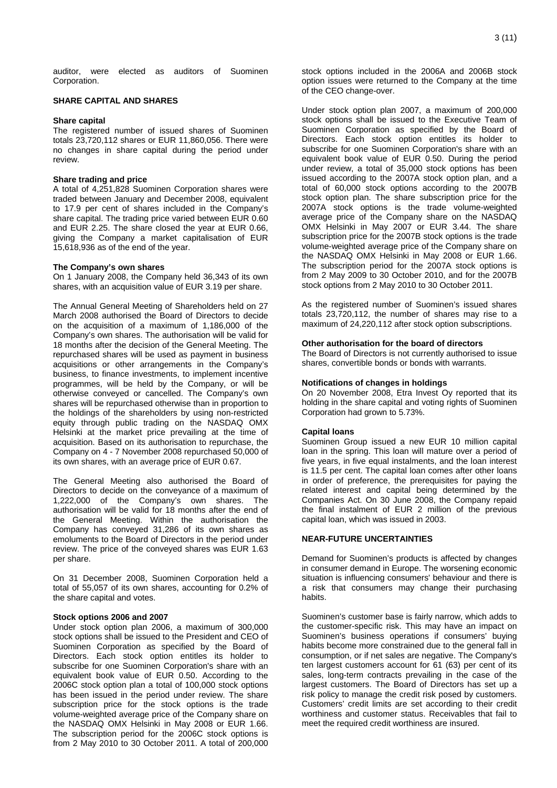auditor, were elected as auditors of Suominen Corporation.

### **SHARE CAPITAL AND SHARES**

#### **Share capital**

The registered number of issued shares of Suominen totals 23,720,112 shares or EUR 11,860,056. There were no changes in share capital during the period under review.

### **Share trading and price**

A total of 4,251,828 Suominen Corporation shares were traded between January and December 2008, equivalent to 17.9 per cent of shares included in the Company's share capital. The trading price varied between EUR 0.60 and EUR 2.25. The share closed the year at EUR 0.66, giving the Company a market capitalisation of EUR 15,618,936 as of the end of the year.

### **The Company's own shares**

On 1 January 2008, the Company held 36,343 of its own shares, with an acquisition value of EUR 3.19 per share.

The Annual General Meeting of Shareholders held on 27 March 2008 authorised the Board of Directors to decide on the acquisition of a maximum of 1,186,000 of the Company's own shares. The authorisation will be valid for 18 months after the decision of the General Meeting. The repurchased shares will be used as payment in business acquisitions or other arrangements in the Company's business, to finance investments, to implement incentive programmes, will be held by the Company, or will be otherwise conveyed or cancelled. The Company's own shares will be repurchased otherwise than in proportion to the holdings of the shareholders by using non-restricted equity through public trading on the NASDAQ OMX Helsinki at the market price prevailing at the time of acquisition. Based on its authorisation to repurchase, the Company on 4 - 7 November 2008 repurchased 50,000 of its own shares, with an average price of EUR 0.67.

The General Meeting also authorised the Board of Directors to decide on the conveyance of a maximum of 1,222,000 of the Company's own shares. The authorisation will be valid for 18 months after the end of the General Meeting. Within the authorisation the Company has conveyed 31,286 of its own shares as emoluments to the Board of Directors in the period under review. The price of the conveyed shares was EUR 1.63 per share.

On 31 December 2008, Suominen Corporation held a total of 55,057 of its own shares, accounting for 0.2% of the share capital and votes.

#### **Stock options 2006 and 2007**

Under stock option plan 2006, a maximum of 300,000 stock options shall be issued to the President and CEO of Suominen Corporation as specified by the Board of Directors. Each stock option entitles its holder to subscribe for one Suominen Corporation's share with an equivalent book value of EUR 0.50. According to the 2006C stock option plan a total of 100,000 stock options has been issued in the period under review. The share subscription price for the stock options is the trade volume-weighted average price of the Company share on the NASDAQ OMX Helsinki in May 2008 or EUR 1.66. The subscription period for the 2006C stock options is from 2 May 2010 to 30 October 2011. A total of 200,000

stock options included in the 2006A and 2006B stock option issues were returned to the Company at the time of the CEO change-over.

Under stock option plan 2007, a maximum of 200,000 stock options shall be issued to the Executive Team of Suominen Corporation as specified by the Board of Directors. Each stock option entitles its holder to subscribe for one Suominen Corporation's share with an equivalent book value of EUR 0.50. During the period under review, a total of 35,000 stock options has been issued according to the 2007A stock option plan, and a total of 60,000 stock options according to the 2007B stock option plan. The share subscription price for the 2007A stock options is the trade volume-weighted average price of the Company share on the NASDAQ OMX Helsinki in May 2007 or EUR 3.44. The share subscription price for the 2007B stock options is the trade volume-weighted average price of the Company share on the NASDAQ OMX Helsinki in May 2008 or EUR 1.66. The subscription period for the 2007A stock options is from 2 May 2009 to 30 October 2010, and for the 2007B stock options from 2 May 2010 to 30 October 2011.

As the registered number of Suominen's issued shares totals 23,720,112, the number of shares may rise to a maximum of 24,220,112 after stock option subscriptions.

### **Other authorisation for the board of directors**

The Board of Directors is not currently authorised to issue shares, convertible bonds or bonds with warrants.

#### **Notifications of changes in holdings**

On 20 November 2008, Etra Invest Oy reported that its holding in the share capital and voting rights of Suominen Corporation had grown to 5.73%.

### **Capital loans**

Suominen Group issued a new EUR 10 million capital loan in the spring. This loan will mature over a period of five years, in five equal instalments, and the loan interest is 11.5 per cent. The capital loan comes after other loans in order of preference, the prerequisites for paying the related interest and capital being determined by the Companies Act. On 30 June 2008, the Company repaid the final instalment of EUR 2 million of the previous capital loan, which was issued in 2003.

### **NEAR-FUTURE UNCERTAINTIES**

Demand for Suominen's products is affected by changes in consumer demand in Europe. The worsening economic situation is influencing consumers' behaviour and there is a risk that consumers may change their purchasing habits.

Suominen's customer base is fairly narrow, which adds to the customer-specific risk. This may have an impact on Suominen's business operations if consumers' buying habits become more constrained due to the general fall in consumption, or if net sales are negative. The Company's ten largest customers account for 61 (63) per cent of its sales, long-term contracts prevailing in the case of the largest customers. The Board of Directors has set up a risk policy to manage the credit risk posed by customers. Customers' credit limits are set according to their credit worthiness and customer status. Receivables that fail to meet the required credit worthiness are insured.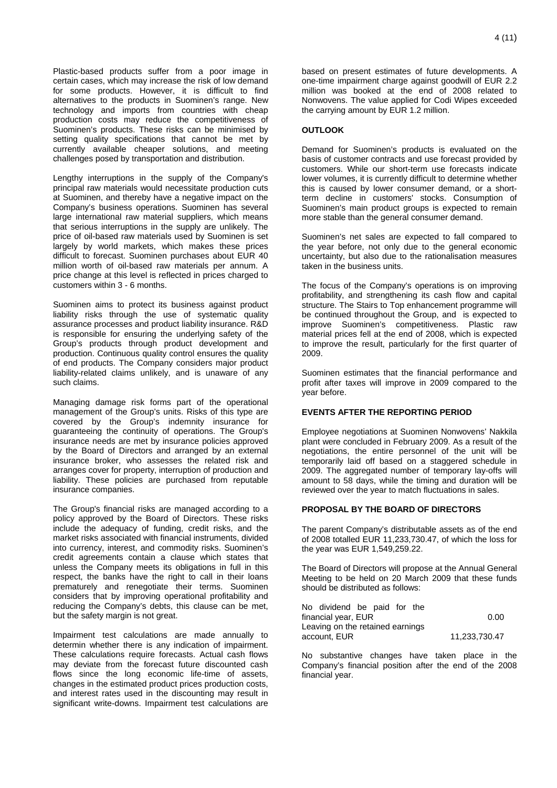Plastic-based products suffer from a poor image in certain cases, which may increase the risk of low demand for some products. However, it is difficult to find alternatives to the products in Suominen's range. New technology and imports from countries with cheap production costs may reduce the competitiveness of Suominen's products. These risks can be minimised by setting quality specifications that cannot be met by currently available cheaper solutions, and meeting challenges posed by transportation and distribution.

Lengthy interruptions in the supply of the Company's principal raw materials would necessitate production cuts at Suominen, and thereby have a negative impact on the Company's business operations. Suominen has several large international raw material suppliers, which means that serious interruptions in the supply are unlikely. The price of oil-based raw materials used by Suominen is set largely by world markets, which makes these prices difficult to forecast. Suominen purchases about EUR 40 million worth of oil-based raw materials per annum. A price change at this level is reflected in prices charged to customers within 3 - 6 months.

Suominen aims to protect its business against product liability risks through the use of systematic quality assurance processes and product liability insurance. R&D is responsible for ensuring the underlying safety of the Group's products through product development and production. Continuous quality control ensures the quality of end products. The Company considers major product liability-related claims unlikely, and is unaware of any such claims.

Managing damage risk forms part of the operational management of the Group's units. Risks of this type are covered by the Group's indemnity insurance for guaranteeing the continuity of operations. The Group's insurance needs are met by insurance policies approved by the Board of Directors and arranged by an external insurance broker, who assesses the related risk and arranges cover for property, interruption of production and liability. These policies are purchased from reputable insurance companies.

The Group's financial risks are managed according to a policy approved by the Board of Directors. These risks include the adequacy of funding, credit risks, and the market risks associated with financial instruments, divided into currency, interest, and commodity risks. Suominen's credit agreements contain a clause which states that unless the Company meets its obligations in full in this respect, the banks have the right to call in their loans prematurely and renegotiate their terms. Suominen considers that by improving operational profitability and reducing the Company's debts, this clause can be met, but the safety margin is not great.

Impairment test calculations are made annually to determin whether there is any indication of impairment. These calculations require forecasts. Actual cash flows may deviate from the forecast future discounted cash flows since the long economic life-time of assets, changes in the estimated product prices production costs, and interest rates used in the discounting may result in significant write-downs. Impairment test calculations are

based on present estimates of future developments. A one-time impairment charge against goodwill of EUR 2.2 million was booked at the end of 2008 related to Nonwovens. The value applied for Codi Wipes exceeded the carrying amount by EUR 1.2 million.

### **OUTLOOK**

Demand for Suominen's products is evaluated on the basis of customer contracts and use forecast provided by customers. While our short-term use forecasts indicate lower volumes, it is currently difficult to determine whether this is caused by lower consumer demand, or a shortterm decline in customers' stocks. Consumption of Suominen's main product groups is expected to remain more stable than the general consumer demand.

Suominen's net sales are expected to fall compared to the year before, not only due to the general economic uncertainty, but also due to the rationalisation measures taken in the business units.

The focus of the Company's operations is on improving profitability, and strengthening its cash flow and capital structure. The Stairs to Top enhancement programme will be continued throughout the Group, and is expected to improve Suominen's competitiveness. Plastic raw material prices fell at the end of 2008, which is expected to improve the result, particularly for the first quarter of 2009.

Suominen estimates that the financial performance and profit after taxes will improve in 2009 compared to the year before.

### **EVENTS AFTER THE REPORTING PERIOD**

Employee negotiations at Suominen Nonwovens' Nakkila plant were concluded in February 2009. As a result of the negotiations, the entire personnel of the unit will be temporarily laid off based on a staggered schedule in 2009. The aggregated number of temporary lay-offs will amount to 58 days, while the timing and duration will be reviewed over the year to match fluctuations in sales.

### **PROPOSAL BY THE BOARD OF DIRECTORS**

The parent Company's distributable assets as of the end of 2008 totalled EUR 11,233,730.47, of which the loss for the year was EUR 1,549,259.22.

The Board of Directors will propose at the Annual General Meeting to be held on 20 March 2009 that these funds should be distributed as follows:

| No dividend be paid for the      |               |
|----------------------------------|---------------|
| financial year, EUR              | 0.00          |
| Leaving on the retained earnings |               |
| account. EUR                     | 11,233,730.47 |

No substantive changes have taken place in the Company's financial position after the end of the 2008 financial year.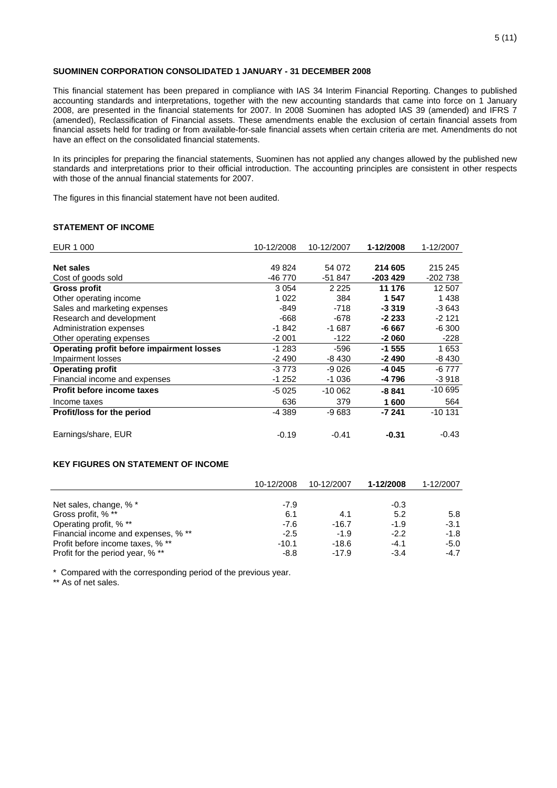### **SUOMINEN CORPORATION CONSOLIDATED 1 JANUARY - 31 DECEMBER 2008**

This financial statement has been prepared in compliance with IAS 34 Interim Financial Reporting. Changes to published accounting standards and interpretations, together with the new accounting standards that came into force on 1 January 2008, are presented in the financial statements for 2007. In 2008 Suominen has adopted IAS 39 (amended) and IFRS 7 (amended), Reclassification of Financial assets. These amendments enable the exclusion of certain financial assets from financial assets held for trading or from available-for-sale financial assets when certain criteria are met. Amendments do not have an effect on the consolidated financial statements.

In its principles for preparing the financial statements, Suominen has not applied any changes allowed by the published new standards and interpretations prior to their official introduction. The accounting principles are consistent in other respects with those of the annual financial statements for 2007.

The figures in this financial statement have not been audited.

### **STATEMENT OF INCOME**

| EUR 1 000                                 | 10-12/2008 | 10-12/2007 | 1-12/2008 | 1-12/2007 |
|-------------------------------------------|------------|------------|-----------|-----------|
|                                           |            |            |           |           |
| Net sales                                 | 49 824     | 54 072     | 214 605   | 215 245   |
| Cost of goods sold                        | -46 770    | -51 847    | $-203429$ | -202 738  |
| Gross profit                              | 3 0 5 4    | 2 2 2 5    | 11 176    | 12 507    |
| Other operating income                    | 1 0 2 2    | 384        | 1547      | 1438      |
| Sales and marketing expenses              | $-849$     | -718       | $-3319$   | $-3643$   |
| Research and development                  | -668       | -678       | $-2233$   | $-2121$   |
| Administration expenses                   | $-1842$    | $-1687$    | -6 667    | $-6300$   |
| Other operating expenses                  | $-2001$    | -122       | $-2060$   | -228      |
| Operating profit before impairment losses | $-1283$    | $-596$     | $-1555$   | 1653      |
| Impairment losses                         | $-2490$    | -8 430     | $-2490$   | -8 430    |
| <b>Operating profit</b>                   | $-3773$    | $-9026$    | $-4045$   | $-6777$   |
| Financial income and expenses             | $-1252$    | -1 036     | -4 796    | -3 918    |
| Profit before income taxes                | $-5025$    | $-100062$  | $-8841$   | $-10695$  |
| Income taxes                              | 636        | 379        | 1600      | 564       |
| Profit/loss for the period                | -4 389     | $-9683$    | -7 241    | $-10131$  |
|                                           |            |            |           |           |
| Earnings/share, EUR                       | $-0.19$    | $-0.41$    | $-0.31$   | -0.43     |

### **KEY FIGURES ON STATEMENT OF INCOME**

|                                     | 10-12/2008 | 10-12/2007 | 1-12/2008 | 1-12/2007 |
|-------------------------------------|------------|------------|-----------|-----------|
|                                     |            |            |           |           |
| Net sales, change, % *              | $-7.9$     |            | $-0.3$    |           |
| Gross profit, % **                  | 6.1        | 4.1        | 5.2       | 5.8       |
| Operating profit, % **              | $-7.6$     | $-16.7$    | $-1.9$    | $-3.1$    |
| Financial income and expenses, % ** | $-2.5$     | $-1.9$     | $-2.2$    | $-1.8$    |
| Profit before income taxes, % **    | $-10.1$    | $-18.6$    | $-4.1$    | $-5.0$    |
| Profit for the period year, % **    | $-8.8$     | $-17.9$    | $-3.4$    | -4.7      |

\* Compared with the corresponding period of the previous year.

\*\* As of net sales.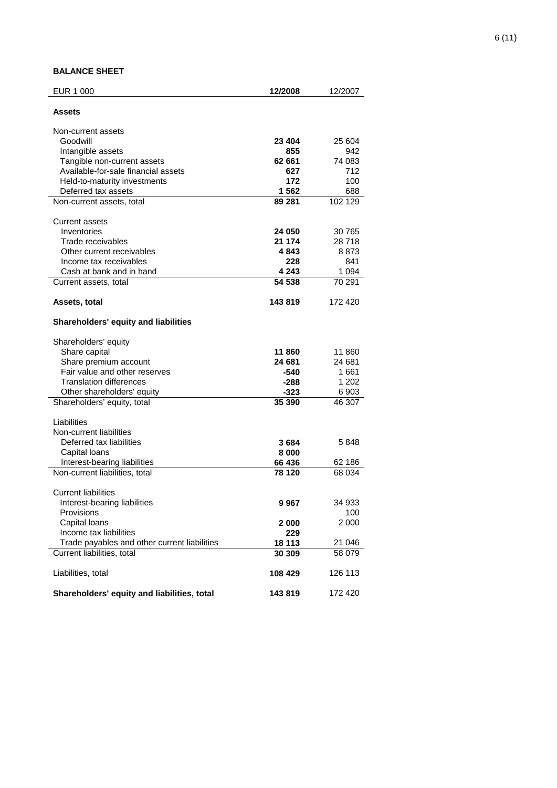# **BALANCE SHEET**

| EUR 1 000                                    | 12/2008 | 12/2007 |
|----------------------------------------------|---------|---------|
| Assets                                       |         |         |
| Non-current assets                           |         |         |
| Goodwill                                     | 23 404  | 25 604  |
| Intangible assets                            | 855     | 942     |
| Tangible non-current assets                  | 62 661  | 74 083  |
| Available-for-sale financial assets          | 627     | 712     |
| Held-to-maturity investments                 | 172     | 100     |
| Deferred tax assets                          | 1562    | 688     |
| Non-current assets, total                    | 89 281  | 102 129 |
| Current assets                               |         |         |
| Inventories                                  | 24 050  | 30 765  |
| Trade receivables                            | 21 174  | 28718   |
| Other current receivables                    | 4 843   | 8873    |
| Income tax receivables                       | 228     | 841     |
| Cash at bank and in hand                     | 4 243   | 1 0 9 4 |
| Current assets, total                        | 54 538  | 70 291  |
| Assets, total                                | 143819  | 172 420 |
| Shareholders' equity and liabilities         |         |         |
| Shareholders' equity                         |         |         |
| Share capital                                | 11 860  | 11 860  |
| Share premium account                        | 24 681  | 24 681  |
| Fair value and other reserves                | -540    | 1661    |
| <b>Translation differences</b>               | -288    | 1 202   |
| Other shareholders' equity                   | -323    | 6903    |
| Shareholders' equity, total                  | 35 390  | 46 307  |
| Liabilities                                  |         |         |
| Non-current liabilities                      |         |         |
| Deferred tax liabilities                     | 3684    | 5 848   |
| Capital loans                                | 8000    |         |
| Interest-bearing liabilities                 | 66 436  | 62 186  |
| Non-current liabilities, total               | 78 120  | 68 034  |
| <b>Current liabilities</b>                   |         |         |
| Interest-bearing liabilities                 | 9 967   | 34 933  |
| Provisions                                   |         | 100     |
| Capital loans                                | 2 000   | 2 000   |
| Income tax liabilities                       | 229     |         |
| Trade payables and other current liabilities | 18 113  | 21 046  |
| Current liabilities, total                   | 30 309  | 58 079  |
| Liabilities, total                           | 108 429 | 126 113 |
| Shareholders' equity and liabilities, total  | 143819  | 172 420 |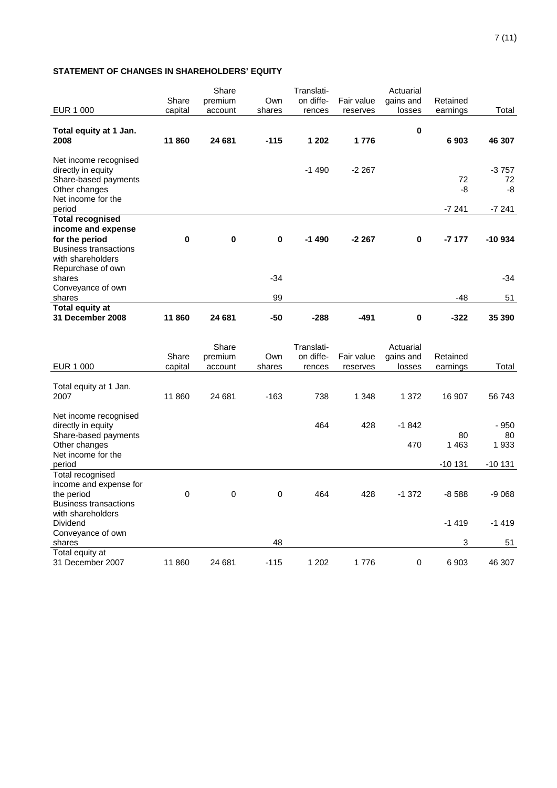## **STATEMENT OF CHANGES IN SHAREHOLDERS' EQUITY**

|                                                                                                            |          | Share    |             | Translati- |            | Actuarial   |          |                     |
|------------------------------------------------------------------------------------------------------------|----------|----------|-------------|------------|------------|-------------|----------|---------------------|
|                                                                                                            | Share    | premium  | Own         | on diffe-  | Fair value | gains and   | Retained |                     |
| EUR 1 000                                                                                                  | capital  | account  | shares      | rences     | reserves   | losses      | earnings | Total               |
| Total equity at 1 Jan.<br>2008                                                                             | 11 860   | 24 681   | $-115$      | 1 202      | 1776       | $\mathbf 0$ | 6903     | 46 307              |
| Net income recognised<br>directly in equity<br>Share-based payments<br>Other changes<br>Net income for the |          |          |             | $-1490$    | $-2267$    |             | 72<br>-8 | $-3757$<br>72<br>-8 |
| period                                                                                                     |          |          |             |            |            |             | $-7241$  | $-7241$             |
| <b>Total recognised</b><br>income and expense                                                              |          |          |             |            |            |             |          |                     |
| for the period<br><b>Business transactions</b><br>with shareholders<br>Repurchase of own                   | $\bf{0}$ | $\bf{0}$ | $\mathbf 0$ | $-1490$    | $-2267$    | $\bf{0}$    | $-7177$  | $-10934$            |
| shares                                                                                                     |          |          | $-34$       |            |            |             |          | -34                 |
| Conveyance of own<br>shares                                                                                |          |          | 99          |            |            |             | -48      | 51                  |
| Total equity at<br>31 December 2008                                                                        | 11860    | 24 681   | -50         | -288       | -491       | 0           | $-322$   | 35 390              |

|                              |         | Share   |        | Translati- |            | Actuarial   |          |          |
|------------------------------|---------|---------|--------|------------|------------|-------------|----------|----------|
|                              | Share   | premium | Own    | on diffe-  | Fair value | gains and   | Retained |          |
| EUR 1 000                    | capital | account | shares | rences     | reserves   | losses      | earnings | Total    |
|                              |         |         |        |            |            |             |          |          |
| Total equity at 1 Jan.       |         |         |        |            |            |             |          |          |
| 2007                         | 11 860  | 24 681  | $-163$ | 738        | 1 3 4 8    | 1 3 7 2     | 16 907   | 56 743   |
| Net income recognised        |         |         |        |            |            |             |          |          |
| directly in equity           |         |         |        | 464        | 428        | $-1842$     |          | - 950    |
| Share-based payments         |         |         |        |            |            |             | 80       | 80       |
| Other changes                |         |         |        |            |            | 470         | 1463     | 1933     |
| Net income for the           |         |         |        |            |            |             |          |          |
| period                       |         |         |        |            |            |             | $-10131$ | $-10131$ |
| Total recognised             |         |         |        |            |            |             |          |          |
| income and expense for       |         |         |        |            |            |             |          |          |
| the period                   | 0       | 0       | 0      | 464        | 428        | $-1372$     | $-8588$  | $-9068$  |
| <b>Business transactions</b> |         |         |        |            |            |             |          |          |
| with shareholders            |         |         |        |            |            |             |          |          |
| <b>Dividend</b>              |         |         |        |            |            |             | $-1419$  | $-1419$  |
| Conveyance of own            |         |         |        |            |            |             |          |          |
| shares                       |         |         | 48     |            |            |             | 3        | 51       |
| Total equity at              |         |         |        |            |            |             |          |          |
| 31 December 2007             | 11 860  | 24 681  | $-115$ | 1 202      | 1776       | $\mathbf 0$ | 6903     | 46 307   |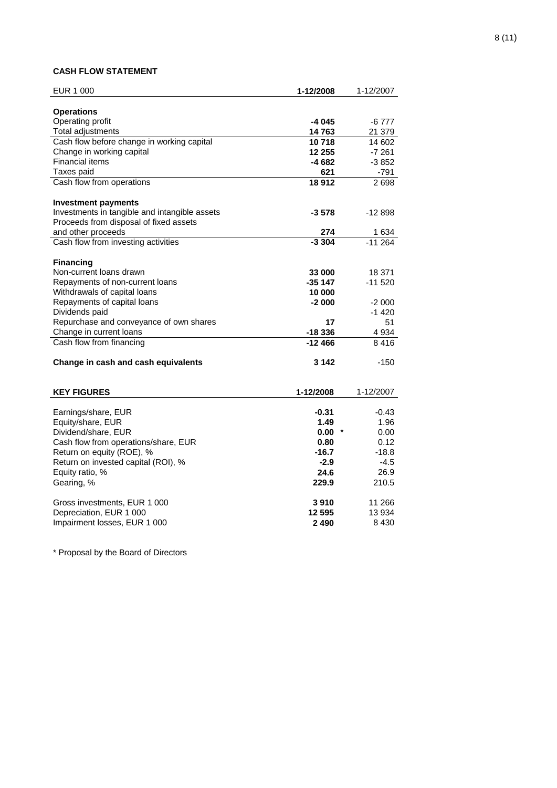# **CASH FLOW STATEMENT**

| EUR 1 000                                     | 1-12/2008 | 1-12/2007             |
|-----------------------------------------------|-----------|-----------------------|
| <b>Operations</b>                             |           |                       |
| Operating profit                              | $-4045$   | $-6777$               |
| Total adjustments                             | 14763     | 21 379                |
| Cash flow before change in working capital    | 10718     | 14 602                |
| Change in working capital                     | 12 255    | -7 261                |
| <b>Financial items</b>                        | -4 682    | $-3852$               |
| Taxes paid                                    | 621       | -791                  |
| Cash flow from operations                     | 18912     | 2698                  |
| <b>Investment payments</b>                    |           |                       |
| Investments in tangible and intangible assets | $-3578$   | $-12898$              |
| Proceeds from disposal of fixed assets        |           |                       |
| and other proceeds                            | 274       | $\frac{1634}{-11264}$ |
| Cash flow from investing activities           | $-3.304$  |                       |
|                                               |           |                       |
| <b>Financing</b>                              |           |                       |
| Non-current loans drawn                       | 33 000    | 18 371                |
| Repayments of non-current loans               | $-35147$  | $-11520$              |
| Withdrawals of capital loans                  | 10 000    |                       |
| Repayments of capital loans                   | $-2000$   | $-2000$               |
| Dividends paid                                |           | $-1420$               |
| Repurchase and conveyance of own shares       | 17        | 51                    |
| Change in current loans                       | $-18336$  | 4 9 34                |
| Cash flow from financing                      | $-12466$  | 8416                  |
| Change in cash and cash equivalents           | 3 142     | -150                  |
|                                               |           |                       |
| <b>KEY FIGURES</b>                            | 1-12/2008 | 1-12/2007             |
| Earnings/share, EUR                           | $-0.31$   | $-0.43$               |
| Equity/share, EUR                             | 1.49      | 1.96                  |
| Dividend/share, EUR                           | 0.00      | 0.00                  |
| Cash flow from operations/share, EUR          | 0.80      | 0.12                  |
| Return on equity (ROE), %                     | $-16.7$   | $-18.8$               |
| Return on invested capital (ROI), %           | $-2.9$    | $-4.5$                |
| Equity ratio, %                               | 24.6      | 26.9                  |
| Gearing, %                                    | 229.9     | 210.5                 |
| Gross investments, EUR 1 000                  | 3910      | 11 266                |
| Depreciation, EUR 1 000                       | 12 595    | 13 9 34               |
| Impairment losses, EUR 1 000                  | 2490      | 8 4 3 0               |
|                                               |           |                       |

\* Proposal by the Board of Directors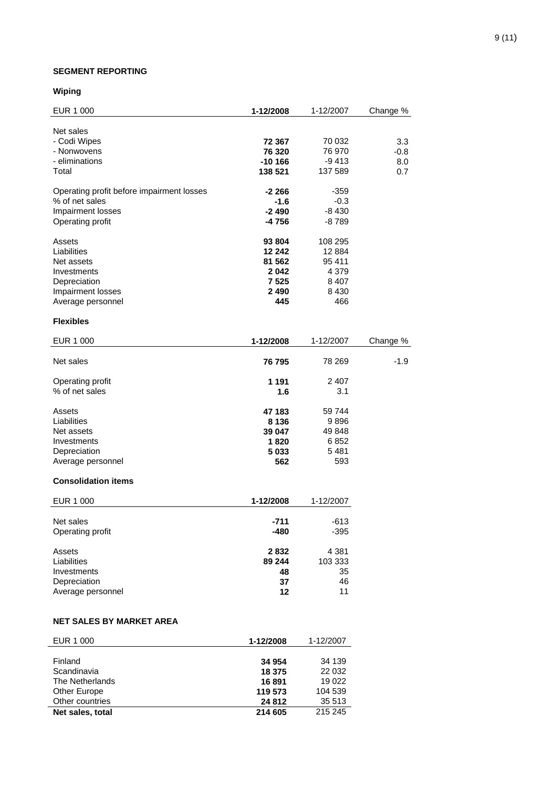## **SEGMENT REPORTING**

# **Wiping**

| EUR 1 000                                 | 1-12/2008 | 1-12/2007 | Change % |
|-------------------------------------------|-----------|-----------|----------|
| Net sales                                 |           |           |          |
| - Codi Wipes                              | 72 367    | 70 032    | 3.3      |
| - Nonwovens                               | 76 320    | 76 970    | $-0.8$   |
| - eliminations                            | $-10166$  | $-9413$   | 8.0      |
| Total                                     |           | 137 589   |          |
|                                           | 138 521   |           | 0.7      |
| Operating profit before impairment losses | $-2266$   | $-359$    |          |
| % of net sales                            | $-1.6$    | $-0.3$    |          |
| Impairment losses                         | $-2490$   | $-8430$   |          |
| Operating profit                          | -4 756    | $-8789$   |          |
|                                           |           |           |          |
| Assets                                    | 93 804    | 108 295   |          |
| Liabilities                               | 12 24 2   | 12 8 84   |          |
| Net assets                                | 81 562    | 95 411    |          |
| Investments                               | 2042      | 4 3 7 9   |          |
| Depreciation                              | 7 5 2 5   | 8 4 0 7   |          |
| Impairment losses                         | 2 4 9 0   | 8 4 3 0   |          |
| Average personnel                         | 445       | 466       |          |
|                                           |           |           |          |
| <b>Flexibles</b>                          |           |           |          |
| EUR 1 000                                 | 1-12/2008 | 1-12/2007 | Change % |
| Net sales                                 | 76 795    | 78 269    | $-1.9$   |
| Operating profit                          | 1 1 9 1   | 2 4 0 7   |          |
| % of net sales                            | 1.6       | 3.1       |          |
|                                           |           |           |          |
| Assets                                    | 47 183    | 59 744    |          |
| Liabilities                               | 8 1 3 6   | 9896      |          |
| Net assets                                | 39 047    | 49 848    |          |
| Investments                               | 1820      | 6852      |          |
| Depreciation                              | 5 0 3 3   | 5481      |          |
| Average personnel                         | 562       | 593       |          |
|                                           |           |           |          |
| <b>Consolidation items</b>                |           |           |          |
| EUR 1 000                                 | 1-12/2008 | 1-12/2007 |          |
| Net sales                                 | -711      | $-613$    |          |
| Operating profit                          | $-480$    | $-395$    |          |
|                                           |           |           |          |
| Assets                                    | 2832      | 4 3 8 1   |          |
| Liabilities                               | 89 244    | 103 333   |          |
| Investments                               | 48        | 35        |          |
| Depreciation                              | 37        | 46        |          |
| Average personnel                         | 12        | 11        |          |
|                                           |           |           |          |
| <b>NET SALES BY MARKET AREA</b>           |           |           |          |
|                                           |           |           |          |

| EUR 1 000        | 1-12/2008 | 1-12/2007 |
|------------------|-----------|-----------|
|                  |           |           |
| Finland          | 34 954    | 34 139    |
| Scandinavia      | 18 375    | 22 0 32   |
| The Netherlands  | 16 891    | 19 0 22   |
| Other Europe     | 119 573   | 104 539   |
| Other countries  | 24 812    | 35 513    |
| Net sales, total | 214 605   | 215 245   |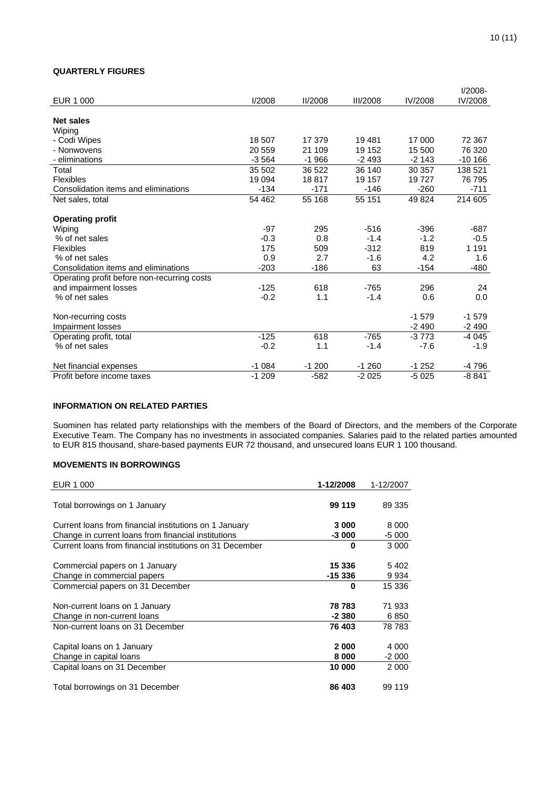### **QUARTERLY FIGURES**

|                                             |         |                |                 |         | $I/2008-$ |
|---------------------------------------------|---------|----------------|-----------------|---------|-----------|
| EUR 1 000                                   | 1/2008  | <b>II/2008</b> | <b>III/2008</b> | IV/2008 | IV/2008   |
|                                             |         |                |                 |         |           |
| <b>Net sales</b>                            |         |                |                 |         |           |
| Wiping                                      |         |                |                 |         |           |
| - Codi Wipes                                | 18 507  | 17 379         | 19481           | 17 000  | 72 367    |
| - Nonwovens                                 | 20 559  | 21 109         | 19 152          | 15 500  | 76 320    |
| - eliminations                              | $-3564$ | $-1966$        | $-2493$         | $-2143$ | $-10166$  |
| Total                                       | 35 502  | 36 522         | 36 140          | 30 357  | 138 521   |
| Flexibles                                   | 19 0 94 | 18817          | 19 157          | 19727   | 76 795    |
| Consolidation items and eliminations        | $-134$  | $-171$         | $-146$          | $-260$  | $-711$    |
| Net sales, total                            | 54 462  | 55 168         | 55 151          | 49824   | 214 605   |
|                                             |         |                |                 |         |           |
| <b>Operating profit</b>                     |         |                |                 |         |           |
| Wiping                                      | -97     | 295            | $-516$          | $-396$  | $-687$    |
| % of net sales                              | $-0.3$  | 0.8            | $-1.4$          | $-1.2$  | $-0.5$    |
| Flexibles                                   | 175     | 509            | $-312$          | 819     | 1 1 9 1   |
| % of net sales                              | 0.9     | 2.7            | $-1.6$          | 4.2     | 1.6       |
| Consolidation items and eliminations        | $-203$  | $-186$         | 63              | $-154$  | $-480$    |
| Operating profit before non-recurring costs |         |                |                 |         |           |
| and impairment losses                       | $-125$  | 618            | $-765$          | 296     | 24        |
| % of net sales                              | $-0.2$  | 1.1            | $-1.4$          | 0.6     | 0.0       |
|                                             |         |                |                 |         |           |
| Non-recurring costs                         |         |                |                 | $-1579$ | $-1579$   |
| Impairment losses                           |         |                |                 | $-2490$ | $-2490$   |
| Operating profit, total                     | $-125$  | 618            | $-765$          | $-3773$ | $-4045$   |
| % of net sales                              | $-0.2$  | 1.1            | $-1.4$          | $-7.6$  | $-1.9$    |
|                                             |         |                |                 |         |           |
| Net financial expenses                      | $-1084$ | $-1200$        | $-1260$         | $-1252$ | -4 796    |
| Profit before income taxes                  | $-1209$ | $-582$         | $-2025$         | $-5025$ | $-8841$   |

# **INFORMATION ON RELATED PARTIES**

Suominen has related party relationships with the members of the Board of Directors, and the members of the Corporate Executive Team. The Company has no investments in associated companies. Salaries paid to the related parties amounted to EUR 815 thousand, share-based payments EUR 72 thousand, and unsecured loans EUR 1 100 thousand.

### **MOVEMENTS IN BORROWINGS**

| EUR 1 000                                                | 1-12/2008 | 1-12/2007 |
|----------------------------------------------------------|-----------|-----------|
|                                                          |           |           |
| Total borrowings on 1 January                            | 99 119    | 89 335    |
|                                                          |           |           |
| Current loans from financial institutions on 1 January   | 3 0 0 0   | 8 0 0 0   |
| Change in current loans from financial institutions      | $-3000$   | $-5000$   |
| Current loans from financial institutions on 31 December | 0         | 3 0 0 0   |
|                                                          |           |           |
| Commercial papers on 1 January                           | 15 336    | 5402      |
| Change in commercial papers                              | $-15336$  | 9934      |
| Commercial papers on 31 December                         | 0         | 15 336    |
|                                                          |           |           |
| Non-current loans on 1 January                           | 78 783    | 71 933    |
| Change in non-current loans                              | $-2380$   | 6850      |
| Non-current loans on 31 December                         | 76 403    | 78 783    |
|                                                          |           |           |
| Capital loans on 1 January                               | 2000      | 4 0 0 0   |
| Change in capital loans                                  | 8 0 0 0   | $-2000$   |
| Capital loans on 31 December                             | 10 000    | 2 0 0 0   |
|                                                          |           |           |
| Total borrowings on 31 December                          | 86 403    | 99 119    |